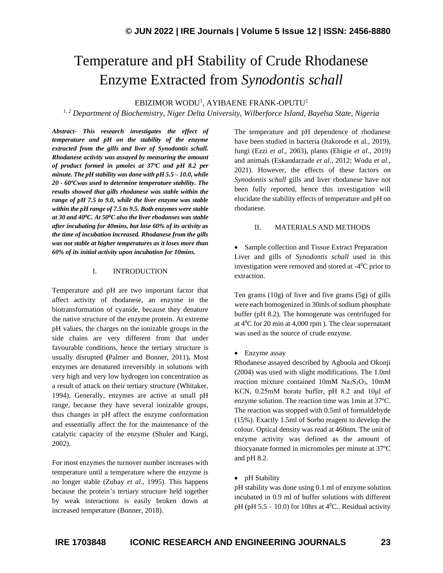# Temperature and pH Stability of Crude Rhodanese Enzyme Extracted from *Synodontis schall*

EBIZIMOR WODU<sup>1</sup>, AYIBAENE FRANK-OPUTU<sup>2</sup>

*1, 2 Department of Biochemistry, Niger Delta University, Wilberforce Island, Bayelsa State, Nigeria*

*Abstract- This research investigates the effect of temperature and pH on the stability of the enzyme extracted from the gills and liver of Synodontis schall. Rhodanese activity was assayed by measuring the amount of product formed in µmoles at 37ºC and pH 8.2 per minute. The pH stability was done with pH 5.5 – 10.0, while 20 - 60ºCwas used to determine temperature stability. The results showed that gills rhodanese was stable within the range of pH 7.5 to 9.0, while the liver enzyme was stable within the pH range of 7.5 to 9.5. Both enzymes were stable at 30 and 40<sup>0</sup>C. At 50<sup>0</sup>C also the liver rhodanses was stable after incubating for 40mins, but lose 60% of its activity as the time of incubation increased. Rhodanese from the gills was not stable at higher temperatures as it loses more than 60% of its initial activity upon incubation for 10mins.*

### I. INTRODUCTION

Temperature and pH are two important factor that affect activity of rhodanese, an enzyme in the biotransformation of cyanide, because they denature the native structure of the enzyme protein. At extreme pH values, the charges on the ionizable groups in the side chains are very different from that under favourable conditions, hence the tertiary structure is usually disrupted **(**Palmer and Bonner, 2011)**.** Most enzymes are denatured irreversibly in solutions with very high and very low hydrogen ion concentration as a result of attack on their tertiary structure (Whitaker, 1994). Generally, enzymes are active at small pH range, because they have several ionizable groups, thus changes in pH affect the enzyme conformation and essentially affect the for the maintenance of the catalytic capacity of the enzyme (Shuler and Kargi, 2002).

For most enzymes the turnover number increases with temperature until a temperature where the enzyme is no longer stable (Zubay *et al*., 1995). This happens because the protein's tertiary structure held together by weak interactions is easily broken down at increased temperature (Bonner, 2018).

The temperature and pH dependence of rhodanese have been studied in bacteria (Itakorode et al., 2019), fungi (Ezzi *et al*., 2003), plants (Ehigie *et al*., 2019) and animals (Eskandarzade *et al*., 2012; Wodu *et al*., 2021). However, the effects of these factors on *Synodontis schall* gills and liver rhodanese have not been fully reported, hence this investigation will elucidate the stability effects of temperature and pH on rhodanese.

## II. MATERIALS AND METHODS

• Sample collection and Tissue Extract Preparation Liver and gills of *Synodontis schall* used in this investigation were removed and stored at  $-4$ <sup>0</sup>C prior to extraction.

Ten grams (10g) of liver and five grams (5g) of gills were each homogenized in 30mls of sodium phosphate buffer (pH 8.2). The homogenate was centrifuged for at  $4^0C$  for 20 min at 4,000 rpm). The clear supernatant was used as the source of crude enzyme.

• Enzyme assay

Rhodanese assayed described by Agboola and Okonji (2004) was used with slight modifications. The 1.0ml reaction mixture contained  $10 \text{mM}$  Na<sub>2</sub>S<sub>2</sub>O<sub>3</sub>,  $10 \text{mM}$ KCN, 0.25mM borate buffer, pH 8.2 and 10μl of enzyme solution. The reaction time was 1min at 37ºC. The reaction was stopped with 0.5ml of formaldehyde (15%). Exactly 1.5ml of Sorbo reagent to develop the colour. Optical density was read at 460nm. The unit of enzyme activity was defined as the amount of thiocyanate formed in micromoles per minute at 37ºC and pH 8.2.

• pH Stability

pH stability was done using 0.1 ml of enzyme solution incubated in 0.9 ml of buffer solutions with different pH (pH  $5.5 - 10.0$ ) for 10hrs at  $4^0$ C.. Residual activity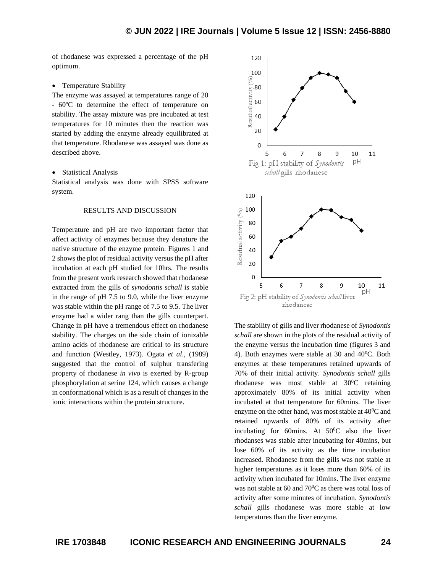of rhodanese was expressed a percentage of the pH optimum.

#### • Temperature Stability

The enzyme was assayed at temperatures range of 20 - 60ºC to determine the effect of temperature on stability. The assay mixture was pre incubated at test temperatures for 10 minutes then the reaction was started by adding the enzyme already equilibrated at that temperature. Rhodanese was assayed was done as described above.

#### • Statistical Analysis

Statistical analysis was done with SPSS software system.

## RESULTS AND DISCUSSION

Temperature and pH are two important factor that affect activity of enzymes because they denature the native structure of the enzyme protein. Figures 1 and 2 shows the plot of residual activity versus the pH after incubation at each pH studied for 10hrs. The results from the present work research showed that rhodanese extracted from the gills of *synodontis schall* is stable in the range of pH 7.5 to 9.0, while the liver enzyme was stable within the pH range of 7.5 to 9.5. The liver enzyme had a wider rang than the gills counterpart. Change in pH have a tremendous effect on rhodanese stability. The charges on the side chain of ionizable amino acids of rhodanese are critical to its structure and function (Westley, 1973). Ogata *et al*., (1989) suggested that the control of sulphur transfering property of rhodanese *in vivo* is exerted by R-group phosphorylation at serine 124, which causes a change in conformational which is as a result of changes in the ionic interactions within the protein structure.



The stability of gills and liver rhodanese of *Synodontis schall* are shown in the plots of the residual activity of the enzyme versus the incubation time (figures 3 and 4). Both enzymes were stable at 30 and  $40^{\circ}$ C. Both enzymes at these temperatures retained upwards of 70% of their initial activity. *Synodontis schall* gills rhodanese was most stable at  $30^{\circ}$ C retaining approximately 80% of its initial activity when incubated at that temperature for 60mins. The liver enzyme on the other hand, was most stable at  $40^{\circ}$ C and retained upwards of 80% of its activity after incubating for 60mins. At  $50^{\circ}$ C also the liver rhodanses was stable after incubating for 40mins, but lose 60% of its activity as the time incubation increased. Rhodanese from the gills was not stable at higher temperatures as it loses more than 60% of its activity when incubated for 10mins. The liver enzyme was not stable at 60 and  $70^0$ C as there was total loss of activity after some minutes of incubation. *Synodontis schall* gills rhodanese was more stable at low temperatures than the liver enzyme.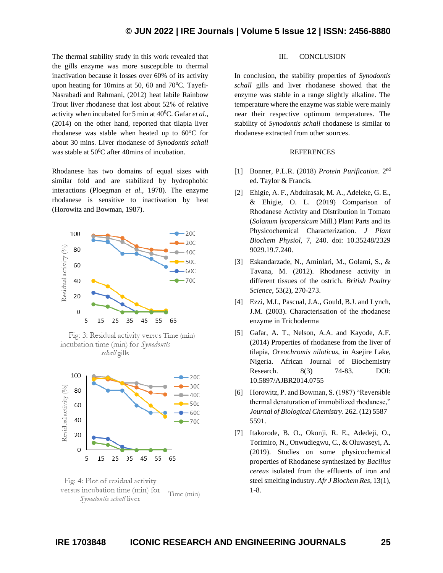The thermal stability study in this work revealed that the gills enzyme was more susceptible to thermal inactivation because it losses over 60% of its activity upon heating for 10mins at 50, 60 and  $70^{\circ}$ C. Tayefi-Nasrabadi and Rahmani, (2012) heat labile Rainbow Trout liver rhodanese that lost about 52% of relative activity when incubated for 5 min at 40<sup>0</sup>C. Gafar *et al*., (2014) on the other hand, reported that tilapia liver rhodanese was stable when heated up to 60°C for about 30 mins. Liver rhodanese of *Synodontis schall*  was stable at  $50^0$ C after 40mins of incubation.

Rhodanese has two domains of equal sizes with similar fold and are stabilized by hydrophobic interactions (Ploegman *et al*., 1978). The enzyme rhodanese is sensitive to inactivation by heat (Horowitz and Bowman, 1987).



Fig: 3: Residual activity versus Time (min) incubation time (min) for Synodontis schall gills



Fig: 4: Plot of residual activity versus incubation time (min) for Time (min) Synodontis schall liver

## III. CONCLUSION

In conclusion, the stability properties of *Synodontis schall* gills and liver rhodanese showed that the enzyme was stable in a range slightly alkaline. The temperature where the enzyme was stable were mainly near their respective optimum temperatures. The stability of *Synodontis schall* rhodanese is similar to rhodanese extracted from other sources.

## **REFERENCES**

- [1] Bonner, P.L.R. (2018) *Protein Purification*. 2nd ed. Taylor & Francis.
- [2] Ehigie, A. F., Abdulrasak, M. A., Adeleke, G. E., & Ehigie, O. L. (2019) Comparison of Rhodanese Activity and Distribution in Tomato (*Solanum lycopersicum* Mill.) Plant Parts and its Physicochemical Characterization. *J Plant Biochem Physiol,* 7, 240. doi: 10.35248/2329 9029.19.7.240.
- [3] Eskandarzade, N., Aminlari, M., Golami, S., & Tavana, M. (2012). Rhodanese activity in different tissues of the ostrich. *British Poultry Science*, 53(2), 270-273.
- [4] Ezzi, M.I., Pascual, J.A., Gould, B.J. and Lynch, J.M. (2003). Characterisation of the rhodanese enzyme in Trichoderma
- [5] Gafar, A. T., Nelson, A.A. and Kayode, A.F. (2014) Properties of rhodanese from the liver of tilapia, *Oreochromis niloticus,* in Asejire Lake, Nigeria. African Journal of Biochemistry Research. 8(3) 74-83. DOI: 10.5897/AJBR2014.0755
- [6] Horowitz, P. and Bowman, S. (1987) "Reversible thermal denaturation of immobilized rhodanese," *Journal of Biological Chemistry*. 262. (12) 5587– 5591.
- [7] Itakorode, B. O., Okonji, R. E., Adedeji, O., Torimiro, N., Onwudiegwu, C., & Oluwaseyi, A. (2019). Studies on some physicochemical properties of Rhodanese synthesized by *Bacillus cereus* isolated from the effluents of iron and steel smelting industry. *Afr J Biochem Res*, 13(1), 1-8.